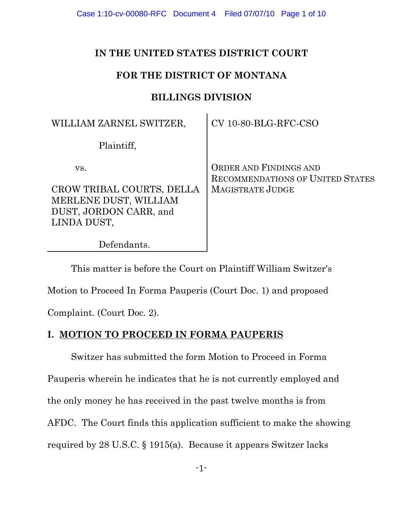Case 1:10-cv-00080-RFC Document 4 Filed 07/07/10 Page 1 of 10

### **IN THE UNITED STATES DISTRICT COURT**

# **FOR THE DISTRICT OF MONTANA**

# **BILLINGS DIVISION**

| WILLIAM ZARNEL SWITZER,                                                                     | CV 10-80-BLG-RFC-CSO                                                     |
|---------------------------------------------------------------------------------------------|--------------------------------------------------------------------------|
| Plaintiff,                                                                                  |                                                                          |
| VS.                                                                                         | <b>ORDER AND FINDINGS AND</b><br><b>RECOMMENDATIONS OF UNITED STATES</b> |
| CROW TRIBAL COURTS, DELLA<br>MERLENE DUST, WILLIAM<br>DUST, JORDON CARR, and<br>LINDA DUST, | <b>MAGISTRATE JUDGE</b>                                                  |
| Defendants.                                                                                 |                                                                          |

This matter is before the Court on Plaintiff William Switzer's

Motion to Proceed In Forma Pauperis (Court Doc. 1) and proposed

Complaint. (Court Doc. 2).

## **I. MOTION TO PROCEED IN FORMA PAUPERIS**

Switzer has submitted the form Motion to Proceed in Forma Pauperis wherein he indicates that he is not currently employed and the only money he has received in the past twelve months is from AFDC. The Court finds this application sufficient to make the showing required by 28 U.S.C. § 1915(a). Because it appears Switzer lacks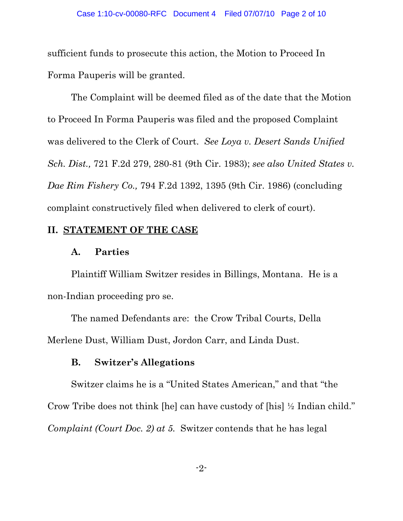sufficient funds to prosecute this action, the Motion to Proceed In Forma Pauperis will be granted.

The Complaint will be deemed filed as of the date that the Motion to Proceed In Forma Pauperis was filed and the proposed Complaint was delivered to the Clerk of Court. *See Loya v. Desert Sands Unified Sch. Dist.,* 721 F.2d 279, 280-81 (9th Cir. 1983); *see also United States v. Dae Rim Fishery Co.,* 794 F.2d 1392, 1395 (9th Cir. 1986) (concluding complaint constructively filed when delivered to clerk of court).

#### **II. STATEMENT OF THE CASE**

#### **A. Parties**

Plaintiff William Switzer resides in Billings, Montana. He is a non-Indian proceeding pro se.

The named Defendants are: the Crow Tribal Courts, Della Merlene Dust, William Dust, Jordon Carr, and Linda Dust.

## **B. Switzer's Allegations**

Switzer claims he is a "United States American," and that "the Crow Tribe does not think [he] can have custody of [his] ½ Indian child." *Complaint (Court Doc. 2) at 5.* Switzer contends that he has legal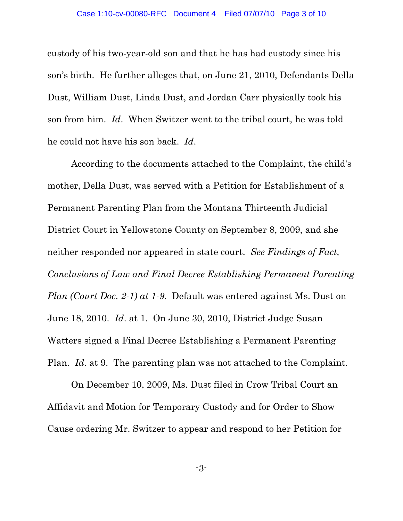custody of his two-year-old son and that he has had custody since his son's birth. He further alleges that, on June 21, 2010, Defendants Della Dust, William Dust, Linda Dust, and Jordan Carr physically took his son from him. *Id*. When Switzer went to the tribal court, he was told he could not have his son back. *Id*.

According to the documents attached to the Complaint, the child's mother, Della Dust, was served with a Petition for Establishment of a Permanent Parenting Plan from the Montana Thirteenth Judicial District Court in Yellowstone County on September 8, 2009, and she neither responded nor appeared in state court. *See Findings of Fact, Conclusions of Law and Final Decree Establishing Permanent Parenting Plan (Court Doc. 2-1) at 1-9.* Default was entered against Ms. Dust on June 18, 2010. *Id*. at 1. On June 30, 2010, District Judge Susan Watters signed a Final Decree Establishing a Permanent Parenting Plan. *Id*. at 9. The parenting plan was not attached to the Complaint.

On December 10, 2009, Ms. Dust filed in Crow Tribal Court an Affidavit and Motion for Temporary Custody and for Order to Show Cause ordering Mr. Switzer to appear and respond to her Petition for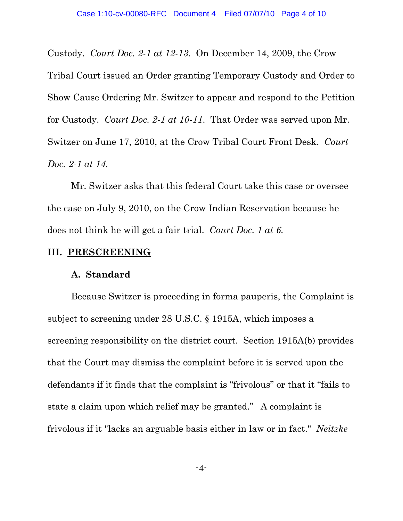Custody. *Court Doc. 2-1 at 12-13.* On December 14, 2009, the Crow

Tribal Court issued an Order granting Temporary Custody and Order to Show Cause Ordering Mr. Switzer to appear and respond to the Petition for Custody. *Court Doc. 2-1 at 10-11*. That Order was served upon Mr. Switzer on June 17, 2010, at the Crow Tribal Court Front Desk. *Court Doc. 2-1 at 14.*

Mr. Switzer asks that this federal Court take this case or oversee the case on July 9, 2010, on the Crow Indian Reservation because he does not think he will get a fair trial. *Court Doc. 1 at 6.*

#### **III. PRESCREENING**

#### **A. Standard**

Because Switzer is proceeding in forma pauperis, the Complaint is subject to screening under 28 U.S.C. § 1915A, which imposes a screening responsibility on the district court. Section 1915A(b) provides that the Court may dismiss the complaint before it is served upon the defendants if it finds that the complaint is "frivolous" or that it "fails to state a claim upon which relief may be granted." A complaint is frivolous if it "lacks an arguable basis either in law or in fact." *Neitzke*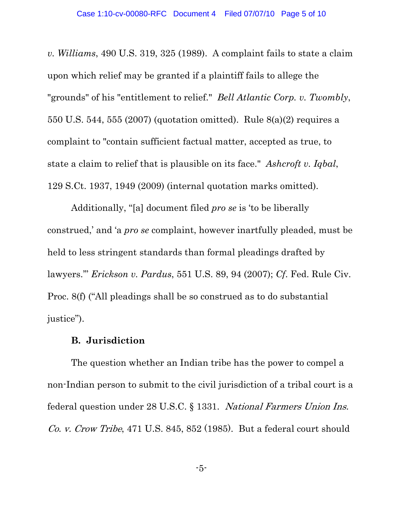*v. Williams*, 490 U.S. 319, 325 (1989). A complaint fails to state a claim upon which relief may be granted if a plaintiff fails to allege the "grounds" of his "entitlement to relief." *Bell Atlantic Corp. v. Twombly*, 550 U.S. 544, 555 (2007) (quotation omitted). Rule 8(a)(2) requires a complaint to "contain sufficient factual matter, accepted as true, to state a claim to relief that is plausible on its face." *Ashcroft v. Iqbal*, 129 S.Ct. 1937, 1949 (2009) (internal quotation marks omitted).

Additionally, "[a] document filed *pro se* is 'to be liberally construed,' and 'a *pro se* complaint, however inartfully pleaded, must be held to less stringent standards than formal pleadings drafted by lawyers.'" *Erickson v. Pardus*, 551 U.S. 89, 94 (2007); *Cf*. Fed. Rule Civ. Proc. 8(f) ("All pleadings shall be so construed as to do substantial justice").

### **B. Jurisdiction**

The question whether an Indian tribe has the power to compel a non-Indian person to submit to the civil jurisdiction of a tribal court is a federal question under 28 U.S.C. § 1331. National Farmers Union Ins. Co. v. Crow Tribe, 471 U.S. 845, 852 (1985). But a federal court should

-5-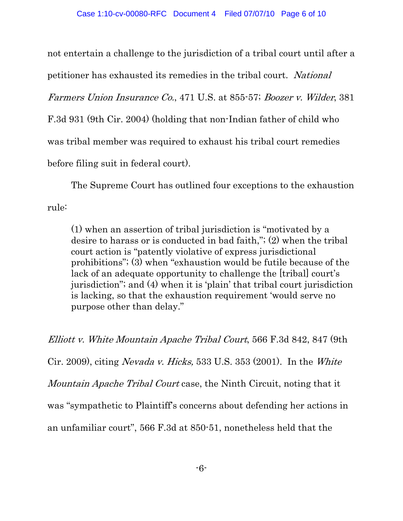not entertain a challenge to the jurisdiction of a tribal court until after a

petitioner has exhausted its remedies in the tribal court. National

Farmers Union Insurance Co., 471 U.S. at 855-57; Boozer v. Wilder, 381

F.3d 931 (9th Cir. 2004) (holding that non-Indian father of child who

was tribal member was required to exhaust his tribal court remedies

before filing suit in federal court).

The Supreme Court has outlined four exceptions to the exhaustion rule:

(1) when an assertion of tribal jurisdiction is "motivated by a desire to harass or is conducted in bad faith,"; (2) when the tribal court action is "patently violative of express jurisdictional prohibitions"; (3) when "exhaustion would be futile because of the lack of an adequate opportunity to challenge the [tribal] court's jurisdiction"; and (4) when it is 'plain' that tribal court jurisdiction is lacking, so that the exhaustion requirement 'would serve no purpose other than delay."

Elliott v. White Mountain Apache Tribal Court, 566 F.3d 842, 847 (9th Cir. 2009), citing Nevada v. Hicks, 533 U.S. 353 (2001). In the White Mountain Apache Tribal Court case, the Ninth Circuit, noting that it was "sympathetic to Plaintiff's concerns about defending her actions in an unfamiliar court", 566 F.3d at 850-51, nonetheless held that the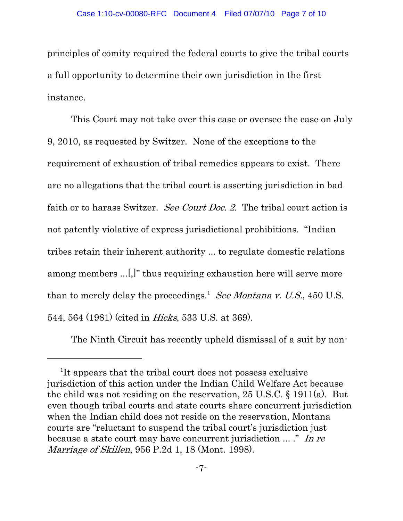principles of comity required the federal courts to give the tribal courts a full opportunity to determine their own jurisdiction in the first instance.

This Court may not take over this case or oversee the case on July 9, 2010, as requested by Switzer. None of the exceptions to the requirement of exhaustion of tribal remedies appears to exist. There are no allegations that the tribal court is asserting jurisdiction in bad faith or to harass Switzer. See Court Doc. 2. The tribal court action is not patently violative of express jurisdictional prohibitions. "Indian tribes retain their inherent authority ... to regulate domestic relations among members ...[,]" thus requiring exhaustion here will serve more than to merely delay the proceedings.<sup>1</sup> See Montana v. U.S., 450 U.S. 544, 564 (1981) (cited in Hicks, 533 U.S. at 369).

The Ninth Circuit has recently upheld dismissal of a suit by non-

<sup>&</sup>lt;sup>1</sup>It appears that the tribal court does not possess exclusive jurisdiction of this action under the Indian Child Welfare Act because the child was not residing on the reservation, 25 U.S.C. § 1911(a). But even though tribal courts and state courts share concurrent jurisdiction when the Indian child does not reside on the reservation, Montana courts are "reluctant to suspend the tribal court's jurisdiction just because a state court may have concurrent jurisdiction ... ." In re Marriage of Skillen, 956 P.2d 1, 18 (Mont. 1998).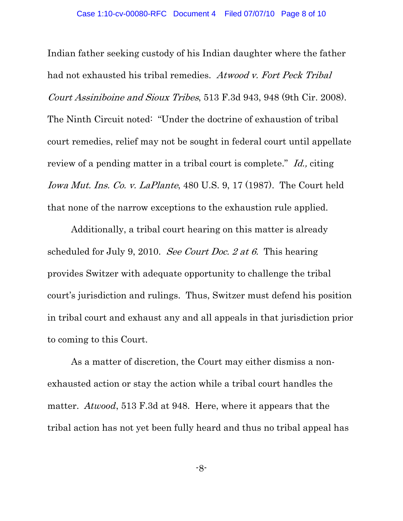Indian father seeking custody of his Indian daughter where the father had not exhausted his tribal remedies. Atwood v. Fort Peck Tribal Court Assiniboine and Sioux Tribes, 513 F.3d 943, 948 (9th Cir. 2008). The Ninth Circuit noted: "Under the doctrine of exhaustion of tribal court remedies, relief may not be sought in federal court until appellate review of a pending matter in a tribal court is complete." Id., citing Iowa Mut. Ins. Co. v. LaPlante, 480 U.S. 9, 17 (1987). The Court held that none of the narrow exceptions to the exhaustion rule applied.

Additionally, a tribal court hearing on this matter is already scheduled for July 9, 2010. See Court Doc. 2 at 6. This hearing provides Switzer with adequate opportunity to challenge the tribal court's jurisdiction and rulings. Thus, Switzer must defend his position in tribal court and exhaust any and all appeals in that jurisdiction prior to coming to this Court.

As a matter of discretion, the Court may either dismiss a nonexhausted action or stay the action while a tribal court handles the matter. *Atwood*, 513 F.3d at 948. Here, where it appears that the tribal action has not yet been fully heard and thus no tribal appeal has

-8-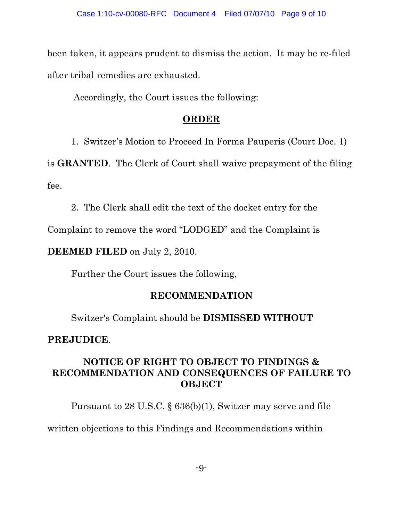been taken, it appears prudent to dismiss the action. It may be re-filed after tribal remedies are exhausted.

Accordingly, the Court issues the following:

### **ORDER**

1. Switzer's Motion to Proceed In Forma Pauperis (Court Doc. 1)

is **GRANTED**. The Clerk of Court shall waive prepayment of the filing fee.

2. The Clerk shall edit the text of the docket entry for the

Complaint to remove the word "LODGED" and the Complaint is

**DEEMED FILED** on July 2, 2010.

Further the Court issues the following,

### **RECOMMENDATION**

Switzer's Complaint should be **DISMISSED WITHOUT**

### **PREJUDICE**.

## **NOTICE OF RIGHT TO OBJECT TO FINDINGS & RECOMMENDATION AND CONSEQUENCES OF FAILURE TO OBJECT**

Pursuant to 28 U.S.C. § 636(b)(1), Switzer may serve and file written objections to this Findings and Recommendations within